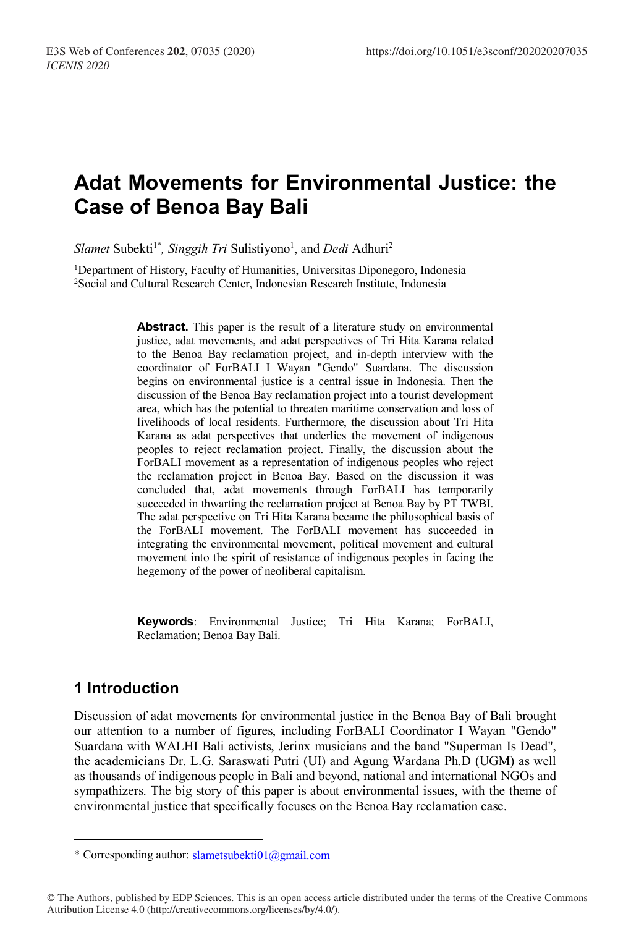# **Adat Movements for Environmental Justice: the Case of Benoa Bay Bali**

Slamet Subekti<sup>1\*</sup>, Singgih Tri Sulistiyono<sup>1</sup>, and Dedi Adhuri<sup>2</sup>

<sup>1</sup>Department of History, Faculty of Humanities, Universitas Diponegoro, Indonesia 2Social and Cultural Research Center, Indonesian Research Institute, Indonesia

> **Abstract.** This paper is the result of a literature study on environmental justice, adat movements, and adat perspectives of Tri Hita Karana related to the Benoa Bay reclamation project, and in-depth interview with the coordinator of ForBALI I Wayan "Gendo" Suardana. The discussion begins on environmental justice is a central issue in Indonesia. Then the discussion of the Benoa Bay reclamation project into a tourist development area, which has the potential to threaten maritime conservation and loss of livelihoods of local residents. Furthermore, the discussion about Tri Hita Karana as adat perspectives that underlies the movement of indigenous peoples to reject reclamation project. Finally, the discussion about the ForBALI movement as a representation of indigenous peoples who reject the reclamation project in Benoa Bay. Based on the discussion it was concluded that, adat movements through ForBALI has temporarily succeeded in thwarting the reclamation project at Benoa Bay by PT TWBI. The adat perspective on Tri Hita Karana became the philosophical basis of the ForBALI movement. The ForBALI movement has succeeded in integrating the environmental movement, political movement and cultural movement into the spirit of resistance of indigenous peoples in facing the hegemony of the power of neoliberal capitalism.

> **Keywords**: Environmental Justice; Tri Hita Karana; ForBALI, Reclamation; Benoa Bay Bali.

## **1 Introduction**

Discussion of adat movements for environmental justice in the Benoa Bay of Bali brought our attention to a number of figures, including ForBALI Coordinator I Wayan "Gendo" Suardana with WALHI Bali activists, Jerinx musicians and the band "Superman Is Dead", the academicians Dr. L.G. Saraswati Putri (UI) and Agung Wardana Ph.D (UGM) as well as thousands of indigenous people in Bali and beyond, national and international NGOs and sympathizers. The big story of this paper is about environmental issues, with the theme of environmental justice that specifically focuses on the Benoa Bay reclamation case.

 \* Corresponding author: slametsubekti01@gmail.com

<sup>©</sup> The Authors, published by EDP Sciences. This is an open access article distributed under the terms of the Creative Commons Attribution License 4.0 (http://creativecommons.org/licenses/by/4.0/).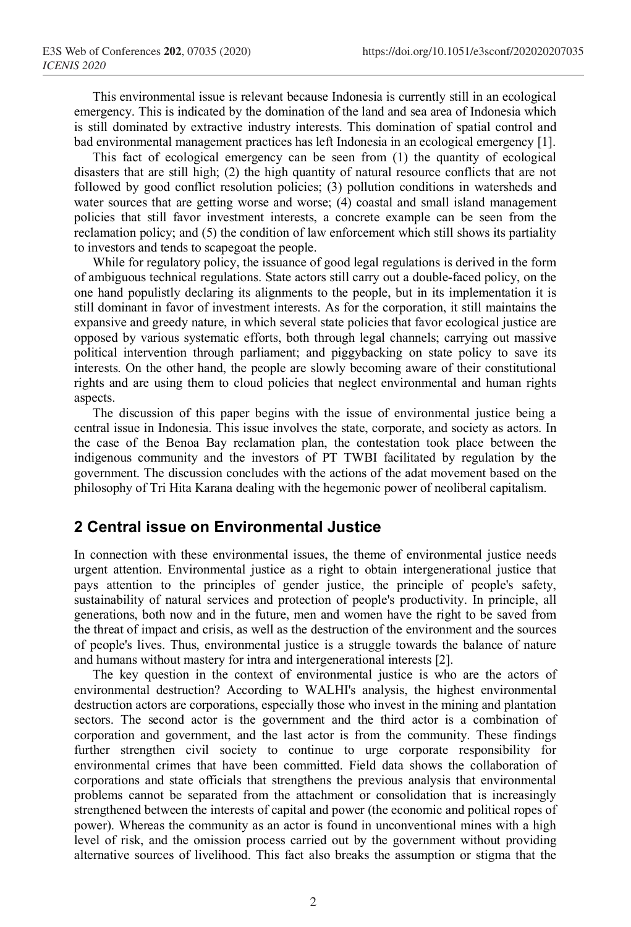This environmental issue is relevant because Indonesia is currently still in an ecological emergency. This is indicated by the domination of the land and sea area of Indonesia which is still dominated by extractive industry interests. This domination of spatial control and bad environmental management practices has left Indonesia in an ecological emergency [1].

This fact of ecological emergency can be seen from (1) the quantity of ecological disasters that are still high; (2) the high quantity of natural resource conflicts that are not followed by good conflict resolution policies; (3) pollution conditions in watersheds and water sources that are getting worse and worse; (4) coastal and small island management policies that still favor investment interests, a concrete example can be seen from the reclamation policy; and (5) the condition of law enforcement which still shows its partiality to investors and tends to scapegoat the people.

While for regulatory policy, the issuance of good legal regulations is derived in the form of ambiguous technical regulations. State actors still carry out a double-faced policy, on the one hand populistly declaring its alignments to the people, but in its implementation it is still dominant in favor of investment interests. As for the corporation, it still maintains the expansive and greedy nature, in which several state policies that favor ecological justice are opposed by various systematic efforts, both through legal channels; carrying out massive political intervention through parliament; and piggybacking on state policy to save its interests. On the other hand, the people are slowly becoming aware of their constitutional rights and are using them to cloud policies that neglect environmental and human rights aspects.

The discussion of this paper begins with the issue of environmental justice being a central issue in Indonesia. This issue involves the state, corporate, and society as actors. In the case of the Benoa Bay reclamation plan, the contestation took place between the indigenous community and the investors of PT TWBI facilitated by regulation by the government. The discussion concludes with the actions of the adat movement based on the philosophy of Tri Hita Karana dealing with the hegemonic power of neoliberal capitalism.

#### **2 Central issue on Environmental Justice**

In connection with these environmental issues, the theme of environmental justice needs urgent attention. Environmental justice as a right to obtain intergenerational justice that pays attention to the principles of gender justice, the principle of people's safety, sustainability of natural services and protection of people's productivity. In principle, all generations, both now and in the future, men and women have the right to be saved from the threat of impact and crisis, as well as the destruction of the environment and the sources of people's lives. Thus, environmental justice is a struggle towards the balance of nature and humans without mastery for intra and intergenerational interests [2].

The key question in the context of environmental justice is who are the actors of environmental destruction? According to WALHI's analysis, the highest environmental destruction actors are corporations, especially those who invest in the mining and plantation sectors. The second actor is the government and the third actor is a combination of corporation and government, and the last actor is from the community. These findings further strengthen civil society to continue to urge corporate responsibility for environmental crimes that have been committed. Field data shows the collaboration of corporations and state officials that strengthens the previous analysis that environmental problems cannot be separated from the attachment or consolidation that is increasingly strengthened between the interests of capital and power (the economic and political ropes of power). Whereas the community as an actor is found in unconventional mines with a high level of risk, and the omission process carried out by the government without providing alternative sources of livelihood. This fact also breaks the assumption or stigma that the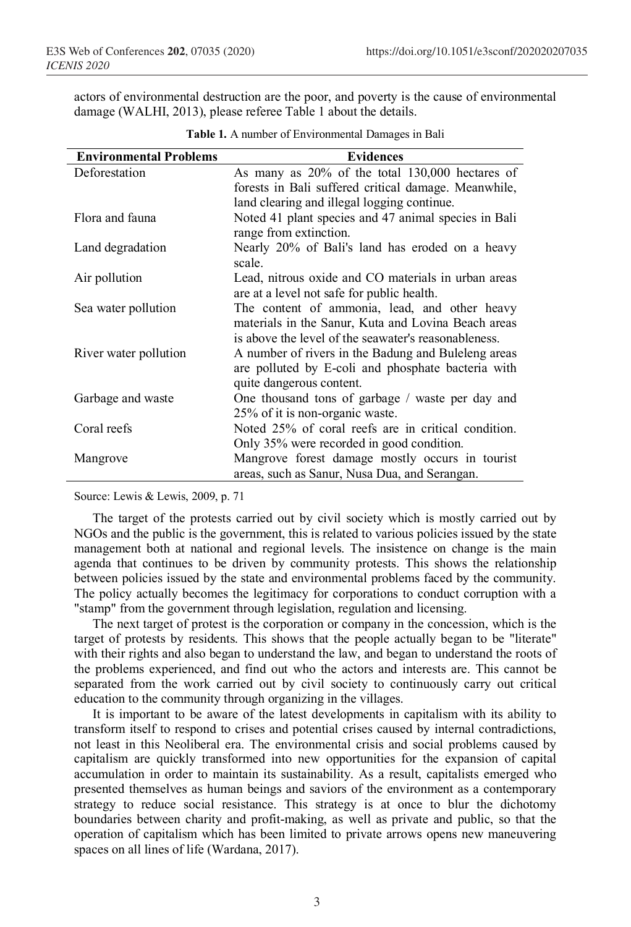actors of environmental destruction are the poor, and poverty is the cause of environmental damage (WALHI, 2013), please referee Table 1 about the details.

| <b>Environmental Problems</b> | <b>Evidences</b>                                          |  |
|-------------------------------|-----------------------------------------------------------|--|
| Deforestation                 | As many as 20% of the total 130,000 hectares of           |  |
|                               | forests in Bali suffered critical damage. Meanwhile,      |  |
|                               | land clearing and illegal logging continue.               |  |
| Flora and fauna               | Noted 41 plant species and 47 animal species in Bali      |  |
|                               | range from extinction.                                    |  |
| Land degradation              | Nearly 20% of Bali's land has eroded on a heavy<br>scale. |  |
| Air pollution                 | Lead, nitrous oxide and CO materials in urban areas       |  |
|                               | are at a level not safe for public health.                |  |
| Sea water pollution           | The content of ammonia, lead, and other heavy             |  |
|                               | materials in the Sanur, Kuta and Lovina Beach areas       |  |
|                               | is above the level of the seawater's reasonableness.      |  |
| River water pollution         | A number of rivers in the Badung and Buleleng areas       |  |
|                               | are polluted by E-coli and phosphate bacteria with        |  |
|                               | quite dangerous content.                                  |  |
| Garbage and waste             | One thousand tons of garbage / waste per day and          |  |
|                               | 25% of it is non-organic waste.                           |  |
| Coral reefs                   | Noted 25% of coral reefs are in critical condition.       |  |
|                               | Only 35% were recorded in good condition.                 |  |
| Mangrove                      | Mangrove forest damage mostly occurs in tourist           |  |
|                               | areas, such as Sanur, Nusa Dua, and Serangan.             |  |

**Table 1.** A number of Environmental Damages in Bali

Source: Lewis & Lewis, 2009, p. 71

The target of the protests carried out by civil society which is mostly carried out by NGOs and the public is the government, this is related to various policies issued by the state management both at national and regional levels. The insistence on change is the main agenda that continues to be driven by community protests. This shows the relationship between policies issued by the state and environmental problems faced by the community. The policy actually becomes the legitimacy for corporations to conduct corruption with a "stamp" from the government through legislation, regulation and licensing.

The next target of protest is the corporation or company in the concession, which is the target of protests by residents. This shows that the people actually began to be "literate" with their rights and also began to understand the law, and began to understand the roots of the problems experienced, and find out who the actors and interests are. This cannot be separated from the work carried out by civil society to continuously carry out critical education to the community through organizing in the villages.

It is important to be aware of the latest developments in capitalism with its ability to transform itself to respond to crises and potential crises caused by internal contradictions, not least in this Neoliberal era. The environmental crisis and social problems caused by capitalism are quickly transformed into new opportunities for the expansion of capital accumulation in order to maintain its sustainability. As a result, capitalists emerged who presented themselves as human beings and saviors of the environment as a contemporary strategy to reduce social resistance. This strategy is at once to blur the dichotomy boundaries between charity and profit-making, as well as private and public, so that the operation of capitalism which has been limited to private arrows opens new maneuvering spaces on all lines of life (Wardana, 2017).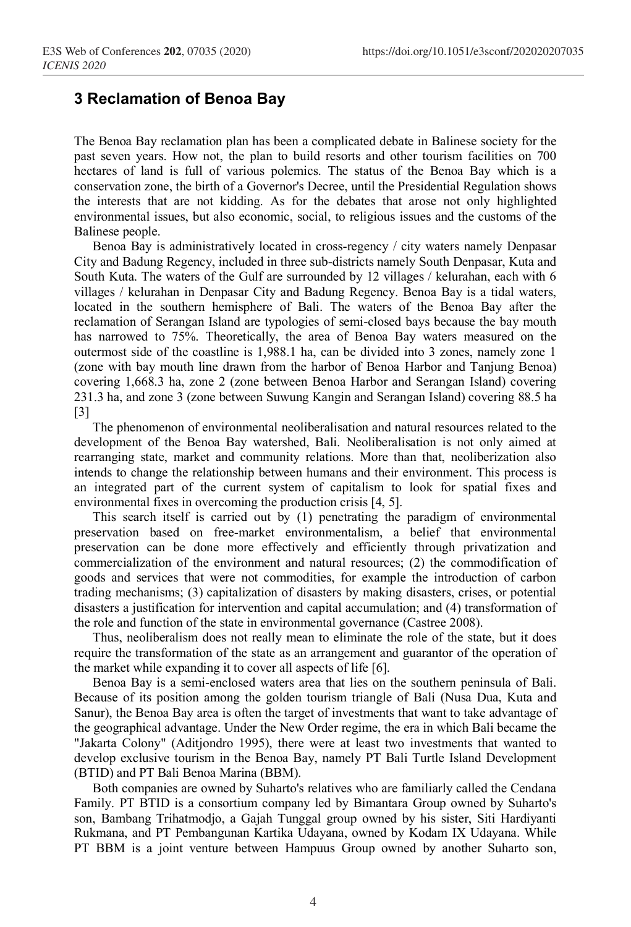## **3 Reclamation of Benoa Bay**

The Benoa Bay reclamation plan has been a complicated debate in Balinese society for the past seven years. How not, the plan to build resorts and other tourism facilities on 700 hectares of land is full of various polemics. The status of the Benoa Bay which is a conservation zone, the birth of a Governor's Decree, until the Presidential Regulation shows the interests that are not kidding. As for the debates that arose not only highlighted environmental issues, but also economic, social, to religious issues and the customs of the Balinese people.

Benoa Bay is administratively located in cross-regency / city waters namely Denpasar City and Badung Regency, included in three sub-districts namely South Denpasar, Kuta and South Kuta. The waters of the Gulf are surrounded by 12 villages / kelurahan, each with 6 villages / kelurahan in Denpasar City and Badung Regency. Benoa Bay is a tidal waters, located in the southern hemisphere of Bali. The waters of the Benoa Bay after the reclamation of Serangan Island are typologies of semi-closed bays because the bay mouth has narrowed to 75%. Theoretically, the area of Benoa Bay waters measured on the outermost side of the coastline is 1,988.1 ha, can be divided into 3 zones, namely zone 1 (zone with bay mouth line drawn from the harbor of Benoa Harbor and Tanjung Benoa) covering 1,668.3 ha, zone 2 (zone between Benoa Harbor and Serangan Island) covering 231.3 ha, and zone 3 (zone between Suwung Kangin and Serangan Island) covering 88.5 ha [3]

The phenomenon of environmental neoliberalisation and natural resources related to the development of the Benoa Bay watershed, Bali. Neoliberalisation is not only aimed at rearranging state, market and community relations. More than that, neoliberization also intends to change the relationship between humans and their environment. This process is an integrated part of the current system of capitalism to look for spatial fixes and environmental fixes in overcoming the production crisis [4, 5].

This search itself is carried out by (1) penetrating the paradigm of environmental preservation based on free-market environmentalism, a belief that environmental preservation can be done more effectively and efficiently through privatization and commercialization of the environment and natural resources; (2) the commodification of goods and services that were not commodities, for example the introduction of carbon trading mechanisms; (3) capitalization of disasters by making disasters, crises, or potential disasters a justification for intervention and capital accumulation; and (4) transformation of the role and function of the state in environmental governance (Castree 2008).

Thus, neoliberalism does not really mean to eliminate the role of the state, but it does require the transformation of the state as an arrangement and guarantor of the operation of the market while expanding it to cover all aspects of life [6].

Benoa Bay is a semi-enclosed waters area that lies on the southern peninsula of Bali. Because of its position among the golden tourism triangle of Bali (Nusa Dua, Kuta and Sanur), the Benoa Bay area is often the target of investments that want to take advantage of the geographical advantage. Under the New Order regime, the era in which Bali became the "Jakarta Colony" (Aditjondro 1995), there were at least two investments that wanted to develop exclusive tourism in the Benoa Bay, namely PT Bali Turtle Island Development (BTID) and PT Bali Benoa Marina (BBM).

Both companies are owned by Suharto's relatives who are familiarly called the Cendana Family. PT BTID is a consortium company led by Bimantara Group owned by Suharto's son, Bambang Trihatmodjo, a Gajah Tunggal group owned by his sister, Siti Hardiyanti Rukmana, and PT Pembangunan Kartika Udayana, owned by Kodam IX Udayana. While PT BBM is a joint venture between Hampuus Group owned by another Suharto son,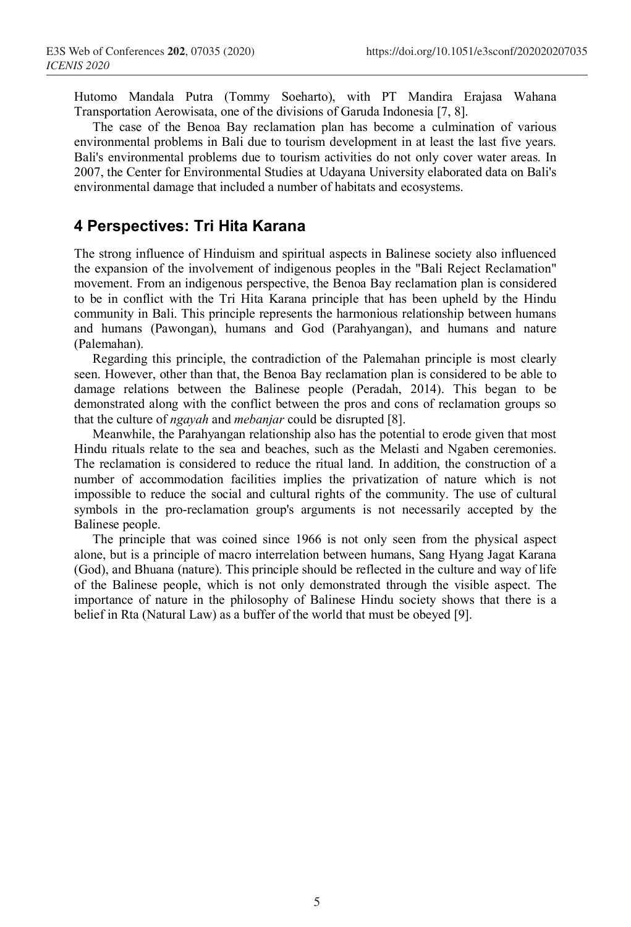Hutomo Mandala Putra (Tommy Soeharto), with PT Mandira Erajasa Wahana Transportation Aerowisata, one of the divisions of Garuda Indonesia [7, 8].

The case of the Benoa Bay reclamation plan has become a culmination of various environmental problems in Bali due to tourism development in at least the last five years. Bali's environmental problems due to tourism activities do not only cover water areas. In 2007, the Center for Environmental Studies at Udayana University elaborated data on Bali's environmental damage that included a number of habitats and ecosystems.

#### **4 Perspectives: Tri Hita Karana**

The strong influence of Hinduism and spiritual aspects in Balinese society also influenced the expansion of the involvement of indigenous peoples in the "Bali Reject Reclamation" movement. From an indigenous perspective, the Benoa Bay reclamation plan is considered to be in conflict with the Tri Hita Karana principle that has been upheld by the Hindu community in Bali. This principle represents the harmonious relationship between humans and humans (Pawongan), humans and God (Parahyangan), and humans and nature (Palemahan).

Regarding this principle, the contradiction of the Palemahan principle is most clearly seen. However, other than that, the Benoa Bay reclamation plan is considered to be able to damage relations between the Balinese people (Peradah, 2014). This began to be demonstrated along with the conflict between the pros and cons of reclamation groups so that the culture of *ngayah* and *mebanjar* could be disrupted [8].

Meanwhile, the Parahyangan relationship also has the potential to erode given that most Hindu rituals relate to the sea and beaches, such as the Melasti and Ngaben ceremonies. The reclamation is considered to reduce the ritual land. In addition, the construction of a number of accommodation facilities implies the privatization of nature which is not impossible to reduce the social and cultural rights of the community. The use of cultural symbols in the pro-reclamation group's arguments is not necessarily accepted by the Balinese people.

The principle that was coined since 1966 is not only seen from the physical aspect alone, but is a principle of macro interrelation between humans, Sang Hyang Jagat Karana (God), and Bhuana (nature). This principle should be reflected in the culture and way of life of the Balinese people, which is not only demonstrated through the visible aspect. The importance of nature in the philosophy of Balinese Hindu society shows that there is a belief in Rta (Natural Law) as a buffer of the world that must be obeyed [9].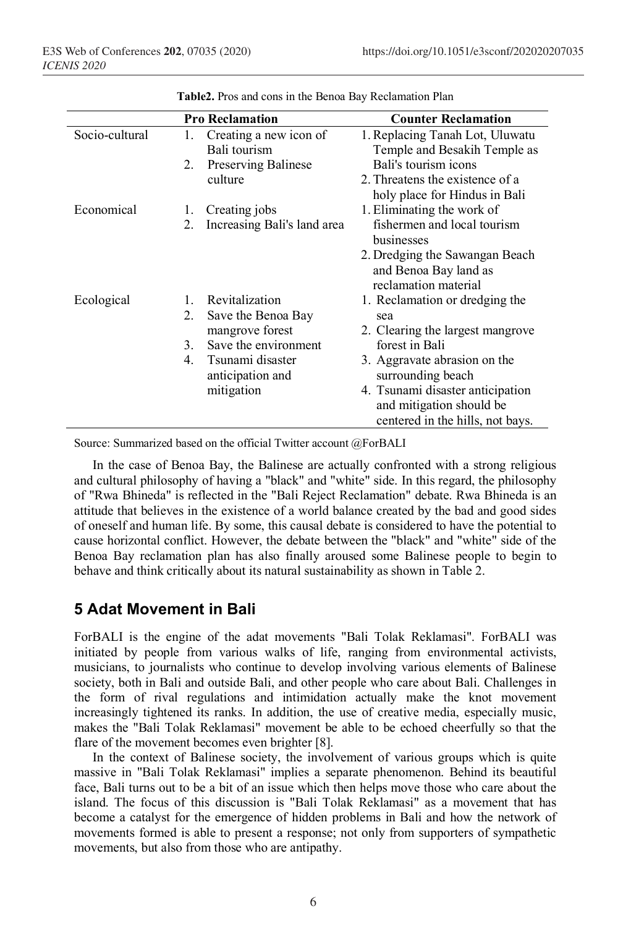|                | <b>Pro Reclamation</b>                                                                                                                                                     | <b>Counter Reclamation</b>                                                                                                                                                                                                                           |
|----------------|----------------------------------------------------------------------------------------------------------------------------------------------------------------------------|------------------------------------------------------------------------------------------------------------------------------------------------------------------------------------------------------------------------------------------------------|
| Socio-cultural | Creating a new icon of<br>1.<br>Bali tourism<br>Preserving Balinese<br>2.<br>culture                                                                                       | 1. Replacing Tanah Lot, Uluwatu<br>Temple and Besakih Temple as<br>Bali's tourism icons<br>2. Threatens the existence of a<br>holy place for Hindus in Bali                                                                                          |
| Economical     | Creating jobs<br>Ι.<br>Increasing Bali's land area<br>$2_{-}$                                                                                                              | 1. Eliminating the work of<br>fishermen and local tourism<br>businesses<br>2. Dredging the Sawangan Beach<br>and Benoa Bay land as<br>reclamation material                                                                                           |
| Ecological     | Revitalization<br>$2_{-}$<br>Save the Benoa Bay<br>mangrove forest<br>Save the environment<br>$3_{-}$<br>Tsunami disaster<br>$4_{\cdot}$<br>anticipation and<br>mitigation | 1. Reclamation or dredging the<br>sea<br>2. Clearing the largest mangrove<br>forest in Bali<br>3. Aggravate abrasion on the<br>surrounding beach<br>4. Tsunami disaster anticipation<br>and mitigation should be<br>centered in the hills, not bays. |

**Table2.** Pros and cons in the Benoa Bay Reclamation Plan

Source: Summarized based on the official Twitter account @ForBALI

In the case of Benoa Bay, the Balinese are actually confronted with a strong religious and cultural philosophy of having a "black" and "white" side. In this regard, the philosophy of "Rwa Bhineda" is reflected in the "Bali Reject Reclamation" debate. Rwa Bhineda is an attitude that believes in the existence of a world balance created by the bad and good sides of oneself and human life. By some, this causal debate is considered to have the potential to cause horizontal conflict. However, the debate between the "black" and "white" side of the Benoa Bay reclamation plan has also finally aroused some Balinese people to begin to behave and think critically about its natural sustainability as shown in Table 2.

#### **5 Adat Movement in Bali**

ForBALI is the engine of the adat movements "Bali Tolak Reklamasi". ForBALI was initiated by people from various walks of life, ranging from environmental activists, musicians, to journalists who continue to develop involving various elements of Balinese society, both in Bali and outside Bali, and other people who care about Bali. Challenges in the form of rival regulations and intimidation actually make the knot movement increasingly tightened its ranks. In addition, the use of creative media, especially music, makes the "Bali Tolak Reklamasi" movement be able to be echoed cheerfully so that the flare of the movement becomes even brighter [8].

In the context of Balinese society, the involvement of various groups which is quite massive in "Bali Tolak Reklamasi" implies a separate phenomenon. Behind its beautiful face, Bali turns out to be a bit of an issue which then helps move those who care about the island. The focus of this discussion is "Bali Tolak Reklamasi" as a movement that has become a catalyst for the emergence of hidden problems in Bali and how the network of movements formed is able to present a response; not only from supporters of sympathetic movements, but also from those who are antipathy.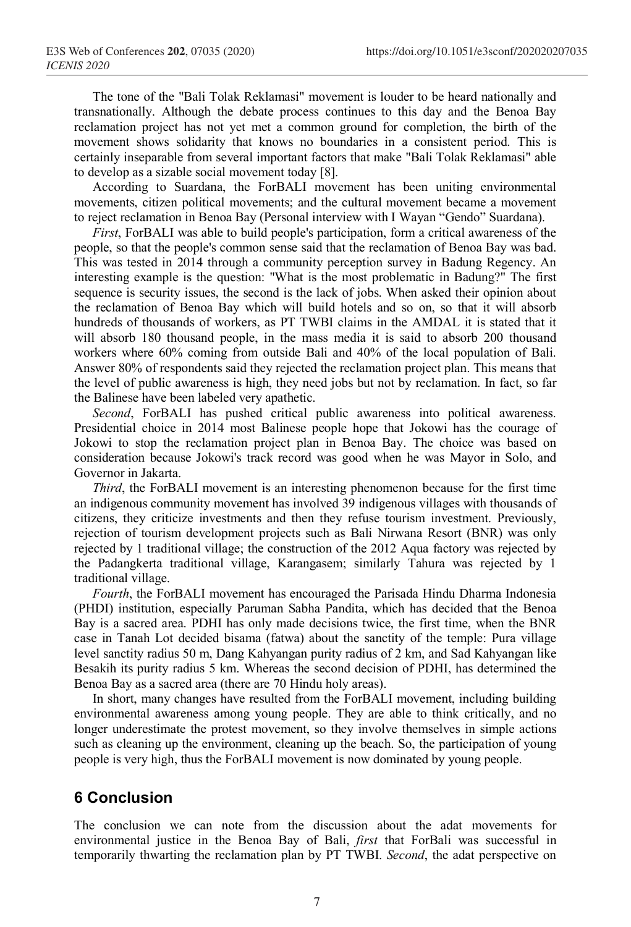The tone of the "Bali Tolak Reklamasi" movement is louder to be heard nationally and transnationally. Although the debate process continues to this day and the Benoa Bay reclamation project has not yet met a common ground for completion, the birth of the movement shows solidarity that knows no boundaries in a consistent period. This is certainly inseparable from several important factors that make "Bali Tolak Reklamasi" able to develop as a sizable social movement today [8].

According to Suardana, the ForBALI movement has been uniting environmental movements, citizen political movements; and the cultural movement became a movement to reject reclamation in Benoa Bay (Personal interview with I Wayan "Gendo" Suardana).

*First*, ForBALI was able to build people's participation, form a critical awareness of the people, so that the people's common sense said that the reclamation of Benoa Bay was bad. This was tested in 2014 through a community perception survey in Badung Regency. An interesting example is the question: "What is the most problematic in Badung?" The first sequence is security issues, the second is the lack of jobs. When asked their opinion about the reclamation of Benoa Bay which will build hotels and so on, so that it will absorb hundreds of thousands of workers, as PT TWBI claims in the AMDAL it is stated that it will absorb 180 thousand people, in the mass media it is said to absorb 200 thousand workers where 60% coming from outside Bali and 40% of the local population of Bali. Answer 80% of respondents said they rejected the reclamation project plan. This means that the level of public awareness is high, they need jobs but not by reclamation. In fact, so far the Balinese have been labeled very apathetic.

*Second*, ForBALI has pushed critical public awareness into political awareness. Presidential choice in 2014 most Balinese people hope that Jokowi has the courage of Jokowi to stop the reclamation project plan in Benoa Bay. The choice was based on consideration because Jokowi's track record was good when he was Mayor in Solo, and Governor in Jakarta.

*Third*, the ForBALI movement is an interesting phenomenon because for the first time an indigenous community movement has involved 39 indigenous villages with thousands of citizens, they criticize investments and then they refuse tourism investment. Previously, rejection of tourism development projects such as Bali Nirwana Resort (BNR) was only rejected by 1 traditional village; the construction of the 2012 Aqua factory was rejected by the Padangkerta traditional village, Karangasem; similarly Tahura was rejected by 1 traditional village.

*Fourth*, the ForBALI movement has encouraged the Parisada Hindu Dharma Indonesia (PHDI) institution, especially Paruman Sabha Pandita, which has decided that the Benoa Bay is a sacred area. PDHI has only made decisions twice, the first time, when the BNR case in Tanah Lot decided bisama (fatwa) about the sanctity of the temple: Pura village level sanctity radius 50 m, Dang Kahyangan purity radius of 2 km, and Sad Kahyangan like Besakih its purity radius 5 km. Whereas the second decision of PDHI, has determined the Benoa Bay as a sacred area (there are 70 Hindu holy areas).

In short, many changes have resulted from the ForBALI movement, including building environmental awareness among young people. They are able to think critically, and no longer underestimate the protest movement, so they involve themselves in simple actions such as cleaning up the environment, cleaning up the beach. So, the participation of young people is very high, thus the ForBALI movement is now dominated by young people.

## **6 Conclusion**

The conclusion we can note from the discussion about the adat movements for environmental justice in the Benoa Bay of Bali, *first* that ForBali was successful in temporarily thwarting the reclamation plan by PT TWBI. *Second*, the adat perspective on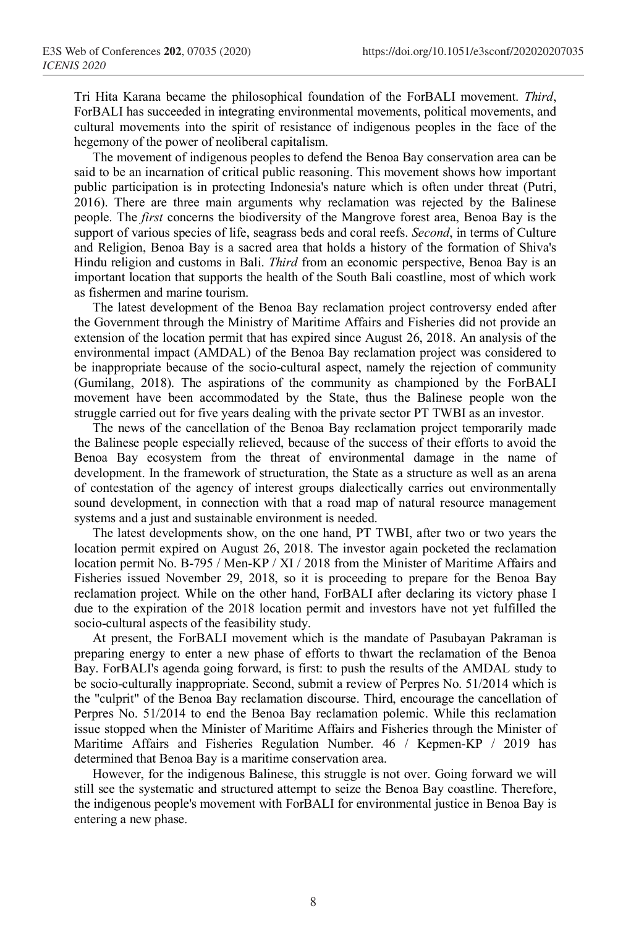Tri Hita Karana became the philosophical foundation of the ForBALI movement. *Third*, ForBALI has succeeded in integrating environmental movements, political movements, and cultural movements into the spirit of resistance of indigenous peoples in the face of the hegemony of the power of neoliberal capitalism.

The movement of indigenous peoples to defend the Benoa Bay conservation area can be said to be an incarnation of critical public reasoning. This movement shows how important public participation is in protecting Indonesia's nature which is often under threat (Putri, 2016). There are three main arguments why reclamation was rejected by the Balinese people. The *first* concerns the biodiversity of the Mangrove forest area, Benoa Bay is the support of various species of life, seagrass beds and coral reefs. *Second*, in terms of Culture and Religion, Benoa Bay is a sacred area that holds a history of the formation of Shiva's Hindu religion and customs in Bali. *Third* from an economic perspective, Benoa Bay is an important location that supports the health of the South Bali coastline, most of which work as fishermen and marine tourism.

The latest development of the Benoa Bay reclamation project controversy ended after the Government through the Ministry of Maritime Affairs and Fisheries did not provide an extension of the location permit that has expired since August 26, 2018. An analysis of the environmental impact (AMDAL) of the Benoa Bay reclamation project was considered to be inappropriate because of the socio-cultural aspect, namely the rejection of community (Gumilang, 2018). The aspirations of the community as championed by the ForBALI movement have been accommodated by the State, thus the Balinese people won the struggle carried out for five years dealing with the private sector PT TWBI as an investor.

The news of the cancellation of the Benoa Bay reclamation project temporarily made the Balinese people especially relieved, because of the success of their efforts to avoid the Benoa Bay ecosystem from the threat of environmental damage in the name of development. In the framework of structuration, the State as a structure as well as an arena of contestation of the agency of interest groups dialectically carries out environmentally sound development, in connection with that a road map of natural resource management systems and a just and sustainable environment is needed.

The latest developments show, on the one hand, PT TWBI, after two or two years the location permit expired on August 26, 2018. The investor again pocketed the reclamation location permit No. B-795 / Men-KP / XI / 2018 from the Minister of Maritime Affairs and Fisheries issued November 29, 2018, so it is proceeding to prepare for the Benoa Bay reclamation project. While on the other hand, ForBALI after declaring its victory phase I due to the expiration of the 2018 location permit and investors have not yet fulfilled the socio-cultural aspects of the feasibility study.

At present, the ForBALI movement which is the mandate of Pasubayan Pakraman is preparing energy to enter a new phase of efforts to thwart the reclamation of the Benoa Bay. ForBALI's agenda going forward, is first: to push the results of the AMDAL study to be socio-culturally inappropriate. Second, submit a review of Perpres No. 51/2014 which is the "culprit" of the Benoa Bay reclamation discourse. Third, encourage the cancellation of Perpres No. 51/2014 to end the Benoa Bay reclamation polemic. While this reclamation issue stopped when the Minister of Maritime Affairs and Fisheries through the Minister of Maritime Affairs and Fisheries Regulation Number. 46 / Kepmen-KP / 2019 has determined that Benoa Bay is a maritime conservation area.

However, for the indigenous Balinese, this struggle is not over. Going forward we will still see the systematic and structured attempt to seize the Benoa Bay coastline. Therefore, the indigenous people's movement with ForBALI for environmental justice in Benoa Bay is entering a new phase.